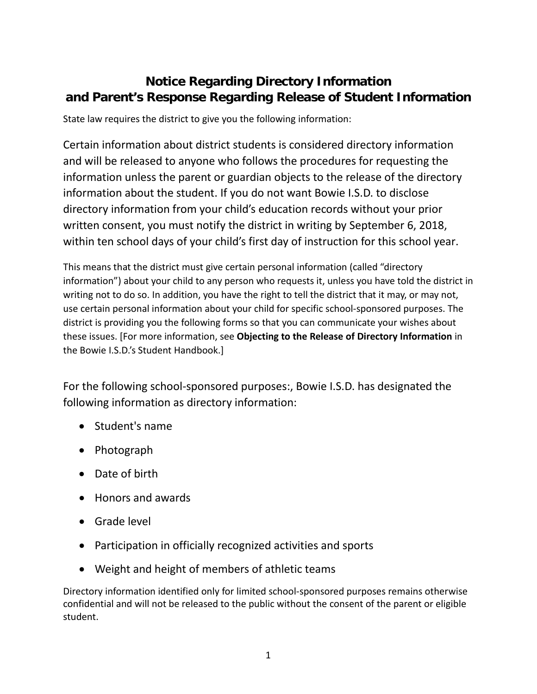## **Notice Regarding Directory Information and Parent's Response Regarding Release of Student Information**

State law requires the district to give you the following information:

Certain information about district students is considered directory information and will be released to anyone who follows the procedures for requesting the information unless the parent or guardian objects to the release of the directory information about the student. If you do not want Bowie I.S.D. to disclose directory information from your child's education records without your prior written consent, you must notify the district in writing by September 6, 2018, within ten school days of your child's first day of instruction for this school year.

This means that the district must give certain personal information (called "directory information") about your child to any person who requests it, unless you have told the district in writing not to do so. In addition, you have the right to tell the district that it may, or may not, use certain personal information about your child for specific school-sponsored purposes. The district is providing you the following forms so that you can communicate your wishes about these issues. [For more information, see **Objecting to the Release of Directory Information** in the Bowie I.S.D.'s Student Handbook.]

For the following school-sponsored purposes:, Bowie I.S.D. has designated the following information as directory information:

- Student's name
- Photograph
- Date of birth
- Honors and awards
- Grade level
- Participation in officially recognized activities and sports
- Weight and height of members of athletic teams

Directory information identified only for limited school-sponsored purposes remains otherwise confidential and will not be released to the public without the consent of the parent or eligible student.